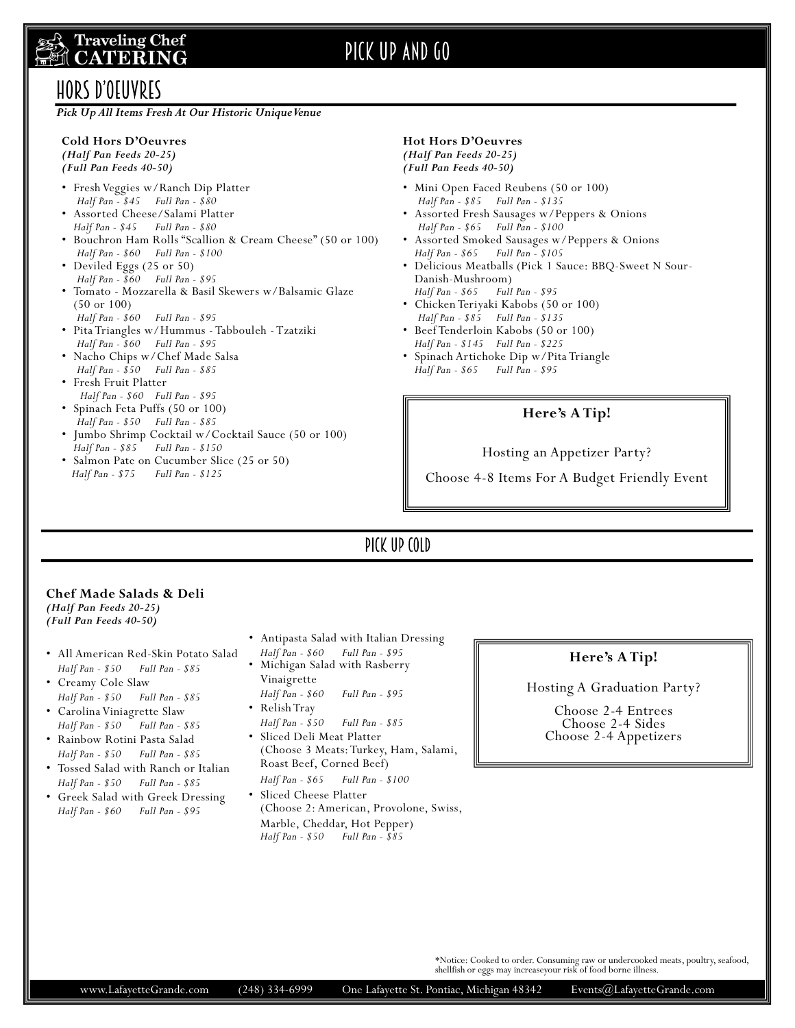### **Traveling Chef CATERING**

## PICK UP AND GO

## HORS D'OEUVRES

Pick Up All Items Fresh At Our Historic Unique Venue

#### Cold Hors D'Oeuvres

(Half Pan Feeds 20-25) (Full Pan Feeds 40-50)

- Fresh Veggies w/Ranch Dip Platter Half Pan - \$45 Full Pan - \$80
- Assorted Cheese/Salami Platter<br>
Half Pan \$45 Full Pan \$80  $Full$   $Pan - $80$
- Bouchron Ham Rolls "Scallion & Cream Cheese" (50 or 100) Half Pan - \$60 Full Pan - \$100
- Deviled Eggs (25 or 50) Half Pan -  $\frac{60}{60}$  Full Pan - \$95
- Tomato Mozzarella & Basil Skewers w/Balsamic Glaze (50 or 100)
- Half Pan \$60 Full Pan \$95
- Pita Triangles w/Hummus Tabbouleh Tzatziki Half Pan - \$60 Full Pan - \$95
- Nacho Chips w/Chef Made Salsa Half Pan -  $\hat{$}50$  Full Pan -  $\$85$
- Fresh Fruit Platter Half Pan - \$60 Full Pan - \$95
- Spinach Feta Puffs (50 or 100) Half Pan - \$50 Full Pan - \$85
- Jumbo Shrimp Cocktail w/Cocktail Sauce (50 or 100) Half Pan - \$85 Full Pan - \$150
- Salmon Pate on Cucumber Slice (25 or 50)<br>Half Pan  $$75$  Full Pan  $$125$ Full Pan - \$125

#### Hot Hors D'Oeuvres

(Half Pan Feeds 20-25) (Full Pan Feeds 40-50)

- Mini Open Faced Reubens (50 or 100) Half Pan - \$85 Full Pan - \$135
- Assorted Fresh Sausages w/Peppers & Onions Half Pan - \$65 Full Pan - \$100
- Assorted Smoked Sausages w/Peppers & Onions Half Pan - \$65 Full Pan - \$105
- Delicious Meatballs (Pick 1 Sauce: BBQ-Sweet N Sour-Danish-Mushroom)<br>Half Pan - \$65 Full Pan - \$95  $Half$   $Pan - $65$
- Chicken Teriyaki Kabobs (50 or 100) Half Pan - \$85 Full Pan - \$135
- Beef Tenderloin Kabobs (50 or 100) Half Pan - \$145 Full Pan - \$225
- Spinach Artichoke Dip w/Pita Triangle  $Full$   $Pan - $95$

#### Here's A Tip!

Hosting an Appetizer Party?

Choose 4-8 Items For A Budget Friendly Event

### PICK UP COLD

#### Chef Made Salads & Deli (Half Pan Feeds 20-25) (Full Pan Feeds 40-50)

- All American Red-Skin Potato Salad Half Pan - \$50 Full Pan - \$85
- Creamy Cole Slaw Half Pan - \$50 Full Pan - \$85
- Carolina Viniagrette Slaw Half Pan - \$50 Full Pan - \$85
- Rainbow Rotini Pasta Salad Half Pan - \$50 Full Pan - \$85
- Tossed Salad with Ranch or Italian Half Pan - \$50 Full Pan - \$85
- Greek Salad with Greek Dressing Half Pan - \$60 Full Pan - \$95
- Antipasta Salad with Italian Dressing
- Half Pan \$60 Full Pan \$95 • Michigan Salad with Rasberry Vinaigrette
- Half Pan \$60 Full Pan \$95 • Relish Tray
- Half Pan \$50 Full Pan \$85 • Sliced Deli Meat Platter
- (Choose 3 Meats: Turkey, Ham, Salami, Roast Beef, Corned Beef) Half Pan - \$65 Full Pan - \$100
- Sliced Cheese Platter (Choose 2: American, Provolone, Swiss, Marble, Cheddar, Hot Pepper) Half Pan -  $$50$  Full Pan -  $$85$

#### Here's A Tip!

Hosting A Graduation Party?

Choose 2-4 Entrees Choose 2-4 Sides Choose 2-4 Appetizers

\*Notice: Cooked to order. Consuming raw or undercooked meats, poultry, seafood, shellfish or eggs may increaseyour risk of food borne illness.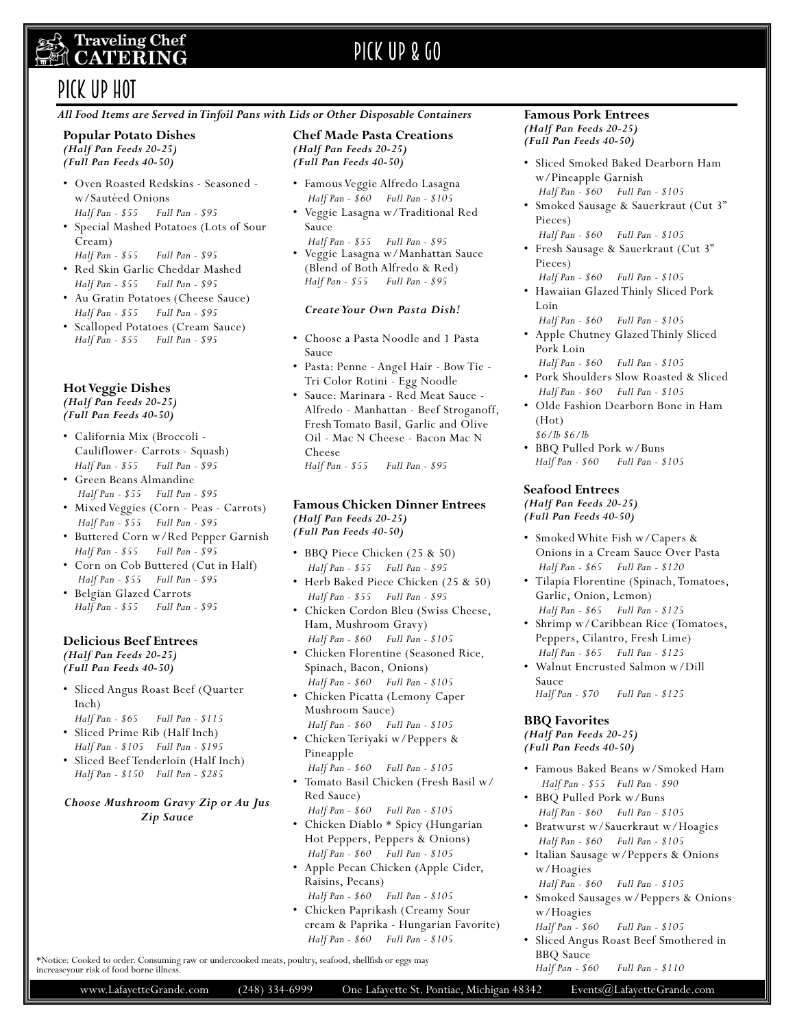### **Traveling Chef il CATERING**

## PICK UP & GO

### PICK UP HOT

#### All Food Items are Served in Tinfoil Pans with Lids or Other Disposable Containers

#### Popular Potato Dishes

(Half Pan Feeds 20-25) (Full Pan Feeds 40-50)

- Oven Roasted Redskins Seasoned w/Sautéed Onions Half Pan - \$55 Full Pan - \$95
- Special Mashed Potatoes (Lots of Sour Cream)
- Half Pan \$55 Full Pan \$95 • Red Skin Garlic Cheddar Mashed
- Half Pan \$55 Full Pan \$95 • Au Gratin Potatoes (Cheese Sauce)
- Half Pan \$55 Full Pan \$95
- Scalloped Potatoes (Cream Sauce)<br>Half Pan \$55 Full Pan \$95 Full Pan - \$95

#### Hot Veggie Dishes

(Half Pan Feeds 20-25) (Full Pan Feeds 40-50)

- California Mix (Broccoli Cauliflower- Carrots - Squash) Half Pan - \$55 Full Pan - \$95
- Green Beans Almandine Half Pan - \$55 Full Pan - \$95
- Mixed Veggies (Corn Peas Carrots) Half Pan - \$55 Full Pan - \$95
- Buttered Corn w/Red Pepper Garnish Half Pan - \$55 Full Pan - \$95
- Corn on Cob Buttered (Cut in Half) Half Pan - \$55 Full Pan - \$95
- Belgian Glazed Carrots<br>Half Pan \$55 Full Pan \$95  $Half$   $Pan - $55$

#### Delicious Beef Entrees

(Half Pan Feeds 20-25) (Full Pan Feeds 40-50)

• Sliced Angus Roast Beef (Quarter Inch)

Half Pan - \$65 Full Pan - \$115

- Sliced Prime Rib (Half Inch) Half Pan - \$105 Full Pan - \$195
- Sliced Beef Tenderloin (Half Inch) Half Pan - \$150 Full Pan - \$285

#### Choose Mushroom Gravy Zip or Au Jus Zip Sauce

#### Chef Made Pasta Creations

(Half Pan Feeds 20-25) (Full Pan Feeds 40-50)

- Famous Veggie Alfredo Lasagna Half Pan - \$60 Full Pan - \$105
- Veggie Lasagna w/Traditional Red Sauce
- Half Pan \$55 Full Pan \$95 • Veggie Lasagna w/Manhattan Sauce (Blend of Both Alfredo & Red)<br>Half Pan - \$55 Full Pan - \$95  $Half$   $Pan - $55$

#### Create Your Own Pasta Dish!

- Choose a Pasta Noodle and 1 Pasta Sauce
- Pasta: Penne Angel Hair Bow Tie Tri Color Rotini - Egg Noodle
- Sauce: Marinara Red Meat Sauce Alfredo - Manhattan - Beef Stroganoff, Fresh Tomato Basil, Garlic and Olive Oil - Mac N Cheese - Bacon Mac N Cheese

Half Pan - \$55 Full Pan - \$95

#### Famous Chicken Dinner Entrees (Half Pan Feeds 20-25) (Full Pan Feeds 40-50)

- BBQ Piece Chicken (25 & 50) Half Pan - \$55 Full Pan - \$95
- Herb Baked Piece Chicken (25 & 50) Half Pan - \$55 Full Pan - \$95
- Chicken Cordon Bleu (Swiss Cheese, Ham, Mushroom Gravy) Half Pan - \$60 Full Pan - \$105
- Chicken Florentine (Seasoned Rice, Spinach, Bacon, Onions) Half Pan - \$60 Full Pan - \$105
- Chicken Picatta (Lemony Caper Mushroom Sauce)
- Half Pan \$60 Full Pan \$105 • Chicken Teriyaki w/Peppers & Pineapple
- Half Pan \$60 Full Pan \$105 • Tomato Basil Chicken (Fresh Basil w/
- Red Sauce) Half Pan - \$60 Full Pan - \$105
- Chicken Diablo \* Spicy (Hungarian Hot Peppers, Peppers & Onions) Half Pan - \$60 Full Pan - \$105
- Apple Pecan Chicken (Apple Cider, Raisins, Pecans) Half Pan - \$60 Full Pan - \$105
- Chicken Paprikash (Creamy Sour cream & Paprika - Hungarian Favorite) Half Pan - \$60 Full Pan - \$105

\*Notice: Cooked to order. Consuming raw or undercooked meats, poultry, seafood, shellfish or eggs may increaseyour risk of food borne illnes

#### Famous Pork Entrees (Half Pan Feeds 20-25) (Full Pan Feeds 40-50)

- Sliced Smoked Baked Dearborn Ham w/Pineapple Garnish Half Pan - \$60 Full Pan - \$105
- Smoked Sausage & Sauerkraut (Cut 3" Pieces)
- Half Pan \$60 Full Pan \$105 • Fresh Sausage & Sauerkraut (Cut 3" Pieces)
- Half Pan \$60 Full Pan \$105 • Hawaiian Glazed Thinly Sliced Pork Loin
	- Half Pan \$60 Full Pan \$105
- Apple Chutney Glazed Thinly Sliced Pork Loin
- Half Pan \$60 Full Pan \$105 • Pork Shoulders Slow Roasted & Sliced
- Half Pan \$60 Full Pan \$105
- Olde Fashion Dearborn Bone in Ham (Hot)
- \$6/lb \$6/lb • BBQ Pulled Pork w/Buns Half Pan - \$60 Full Pan - \$105

#### Seafood Entrees

#### (Half Pan Feeds 20-25) (Full Pan Feeds 40-50)

- Smoked White Fish w/Capers & Onions in a Cream Sauce Over Pasta Half Pan - \$65 Full Pan - \$120
- Tilapia Florentine (Spinach, Tomatoes, Garlic, Onion, Lemon) Half Pan - \$65 Full Pan - \$125
- Shrimp w/Caribbean Rice (Tomatoes, Peppers, Cilantro, Fresh Lime) Half Pan - \$65 Full Pan - \$125
- Walnut Encrusted Salmon w/Dill Sauce

Half Pan - \$70 Full Pan - \$125

#### BBQ Favorites

(Half Pan Feeds 20-25) (Full Pan Feeds 40-50)

- Famous Baked Beans w/Smoked Ham Half Pan - \$55 Full Pan - \$90
- BBQ Pulled Pork w/Buns Half Pan - \$60 Full Pan - \$105
- Bratwurst w/Sauerkraut w/Hoagies Half Pan - \$60 Full Pan - \$105
- Italian Sausage w/Peppers & Onions w/Hoagies
- Half Pan \$60 Full Pan \$105
- Smoked Sausages w/Peppers & Onions w/Hoagies
- Half Pan \$60 Full Pan \$105
- Sliced Angus Roast Beef Smothered in BBQ Sauce
	- Half Pan \$60 Full Pan \$110